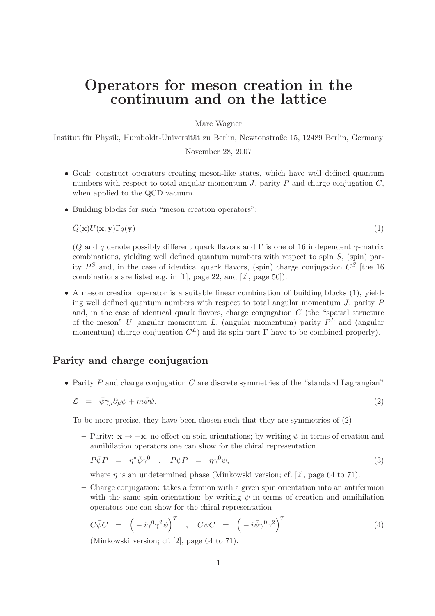# Operators for meson creation in the continuum and on the lattice

Marc Wagner

Institut für Physik, Humboldt-Universität zu Berlin, Newtonstraße 15, 12489 Berlin, Germany November 28, 2007

- Goal: construct operators creating meson-like states, which have well defined quantum numbers with respect to total angular momentum  $J$ , parity  $P$  and charge conjugation  $C$ , when applied to the QCD vacuum.
- Building blocks for such "meson creation operators":

$$
\bar{Q}(\mathbf{x})U(\mathbf{x};\mathbf{y})\Gamma q(\mathbf{y})\tag{1}
$$

(Q and q denote possibly different quark flavors and  $\Gamma$  is one of 16 independent  $\gamma$ -matrix combinations, yielding well defined quantum numbers with respect to spin  $S$ , (spin) parity  $P^S$  and, in the case of identical quark flavors, (spin) charge conjugation  $C^S$  [the 16 combinations are listed e.g. in [1], page 22, and [2], page 50]).

• A meson creation operator is a suitable linear combination of building blocks (1), yielding well defined quantum numbers with respect to total angular momentum  $J$ , parity  $P$ and, in the case of identical quark flavors, charge conjugation  $C$  (the "spatial structure of the meson" U [angular momentum L, (angular momentum) parity  $P<sup>L</sup>$  and (angular momentum) charge conjugation  $C^L$ ) and its spin part  $\Gamma$  have to be combined properly).

## Parity and charge conjugation

• Parity  $P$  and charge conjugation  $C$  are discrete symmetries of the "standard Lagrangian"

$$
\mathcal{L} = \bar{\psi}\gamma_{\mu}\partial_{\mu}\psi + m\bar{\psi}\psi. \tag{2}
$$

To be more precise, they have been chosen such that they are symmetries of (2).

 $−$  Parity:  $\mathbf{x} \rightarrow -\mathbf{x}$ , no effect on spin orientations; by writing  $\psi$  in terms of creation and annihilation operators one can show for the chiral representation

$$
P\bar{\psi}P = \eta^* \bar{\psi} \gamma^0 \quad , \quad P\psi P = \eta \gamma^0 \psi, \tag{3}
$$

where  $\eta$  is an undetermined phase (Minkowski version; cf. [2], page 64 to 71).

– Charge conjugation: takes a fermion with a given spin orientation into an antifermion with the same spin orientation; by writing  $\psi$  in terms of creation and annihilation operators one can show for the chiral representation

$$
C\bar{\psi}C = \left(-i\gamma^0\gamma^2\psi\right)^T , \quad C\psi C = \left(-i\bar{\psi}\gamma^0\gamma^2\right)^T
$$
 (4)

(Minkowski version; cf. [2], page 64 to 71).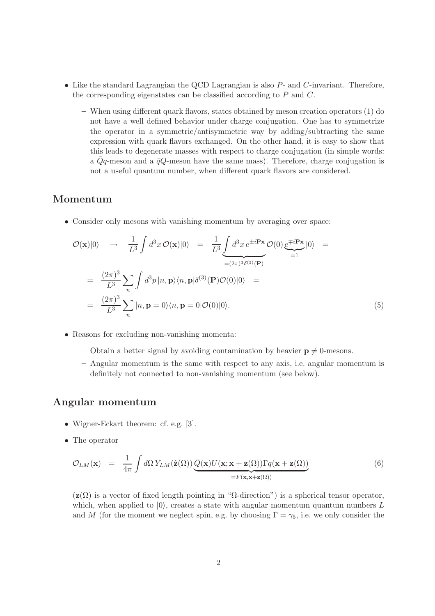- $\bullet$  Like the standard Lagrangian the QCD Lagrangian is also  $P$  and  $C$ -invariant. Therefore, the corresponding eigenstates can be classified according to P and C.
	- When using different quark flavors, states obtained by meson creation operators (1) do not have a well defined behavior under charge conjugation. One has to symmetrize the operator in a symmetric/antisymmetric way by adding/subtracting the same expression with quark flavors exchanged. On the other hand, it is easy to show that this leads to degenerate masses with respect to charge conjugation (in simple words: a  $\overline{Q}q$ -meson and a  $\overline{q}Q$ -meson have the same mass). Therefore, charge conjugation is not a useful quantum number, when different quark flavors are considered.

#### Momentum

• Consider only mesons with vanishing momentum by averaging over space:

$$
\mathcal{O}(\mathbf{x})|0\rangle \rightarrow \frac{1}{L^3} \int d^3x \, \mathcal{O}(\mathbf{x})|0\rangle = \frac{1}{L^3} \underbrace{\int d^3x \, e^{\pm i \mathbf{P} \mathbf{x}}}_{=(2\pi)^3 \delta^{(3)}(\mathbf{P})} \mathcal{O}(0) \underbrace{e^{\mp i \mathbf{P} \mathbf{x}}}_{=1} |0\rangle =
$$
\n
$$
= \frac{(2\pi)^3}{L^3} \sum_{n} \int d^3p \, |n, \mathbf{p}\rangle \langle n, \mathbf{p}| \delta^{(3)}(\mathbf{P}) \mathcal{O}(0) |0\rangle =
$$
\n
$$
= \frac{(2\pi)^3}{L^3} \sum_{n} |n, \mathbf{p} = 0\rangle \langle n, \mathbf{p} = 0 | \mathcal{O}(0) |0\rangle.
$$
\n(5)

- Reasons for excluding non-vanishing momenta:
	- Obtain a better signal by avoiding contamination by heavier  $p \neq 0$ -mesons.
	- Angular momentum is the same with respect to any axis, i.e. angular momentum is definitely not connected to non-vanishing momentum (see below).

#### Angular momentum

- Wigner-Eckart theorem: cf. e.g. [3].
- The operator

$$
\mathcal{O}_{LM}(\mathbf{x}) = \frac{1}{4\pi} \int d\Omega \, Y_{LM}(\hat{\mathbf{z}}(\Omega)) \underbrace{\bar{Q}(\mathbf{x}) U(\mathbf{x}; \mathbf{x} + \mathbf{z}(\Omega)) \Gamma q(\mathbf{x} + \mathbf{z}(\Omega))}_{=F(\mathbf{x}, \mathbf{x} + \mathbf{z}(\Omega))}
$$
(6)

 $(z(\Omega))$  is a vector of fixed length pointing in " $\Omega$ -direction") is a spherical tensor operator, which, when applied to  $|0\rangle$ , creates a state with angular momentum quantum numbers L and M (for the moment we neglect spin, e.g. by choosing  $\Gamma = \gamma_5$ , i.e. we only consider the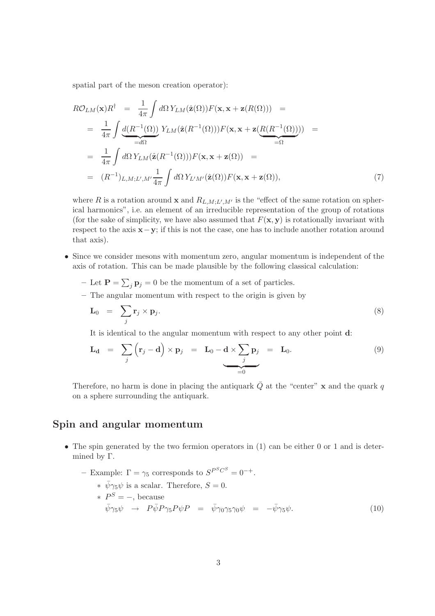spatial part of the meson creation operator):

$$
R\mathcal{O}_{LM}(\mathbf{x})R^{\dagger} = \frac{1}{4\pi} \int d\Omega Y_{LM}(\hat{\mathbf{z}}(\Omega))F(\mathbf{x}, \mathbf{x} + \mathbf{z}(R(\Omega))) =
$$
  
\n
$$
= \frac{1}{4\pi} \int \underbrace{d(R^{-1}(\Omega))}_{=d\Omega} Y_{LM}(\hat{\mathbf{z}}(R^{-1}(\Omega)))F(\mathbf{x}, \mathbf{x} + \mathbf{z}(\underbrace{R(R^{-1}(\Omega)))}_{= \Omega}) =
$$
  
\n
$$
= \frac{1}{4\pi} \int d\Omega Y_{LM}(\hat{\mathbf{z}}(R^{-1}(\Omega)))F(\mathbf{x}, \mathbf{x} + \mathbf{z}(\Omega)) =
$$
  
\n
$$
= (R^{-1})_{L,M;L',M'} \frac{1}{4\pi} \int d\Omega Y_{L'M'}(\hat{\mathbf{z}}(\Omega))F(\mathbf{x}, \mathbf{x} + \mathbf{z}(\Omega)),
$$
\n(7)

where R is a rotation around **x** and  $R_{L,M;L',M'}$  is the "effect of the same rotation on spherical harmonics", i.e. an element of an irreducible representation of the group of rotations (for the sake of simplicity, we have also assumed that  $F(\mathbf{x}, \mathbf{y})$  is rotationally invariant with respect to the axis x−y; if this is not the case, one has to include another rotation around that axis).

- Since we consider mesons with momentum zero, angular momentum is independent of the axis of rotation. This can be made plausible by the following classical calculation:
	- Let  $\mathbf{P} = \sum_j \mathbf{p}_j = 0$  be the momentum of a set of particles.
	- The angular momentum with respect to the origin is given by

$$
\mathbf{L}_0 = \sum_j \mathbf{r}_j \times \mathbf{p}_j. \tag{8}
$$

It is identical to the angular momentum with respect to any other point d:

$$
\mathbf{L}_{\mathbf{d}} = \sum_{j} (\mathbf{r}_{j} - \mathbf{d}) \times \mathbf{p}_{j} = \mathbf{L}_{0} - \mathbf{d} \times \sum_{j} \mathbf{p}_{j} = \mathbf{L}_{0}.
$$
 (9)

Therefore, no harm is done in placing the antiquark  $\overline{Q}$  at the "center" x and the quark q on a sphere surrounding the antiquark.

#### Spin and angular momentum

• The spin generated by the two fermion operators in (1) can be either 0 or 1 and is determined by Γ.

- Example:  $\Gamma = \gamma_5$  corresponds to  $S^{P^S C^S} = 0^{-+}$ .

\* 
$$
\bar{\psi}\gamma_5\psi
$$
 is a scalar. Therefore,  $S = 0$ .  
\n\*  $P^S = -$ , because  
\n $\bar{\psi}\gamma_5\psi \rightarrow P\bar{\psi}P\gamma_5P\psi P = \bar{\psi}\gamma_0\gamma_5\gamma_0\psi = -\bar{\psi}\gamma_5\psi.$  (10)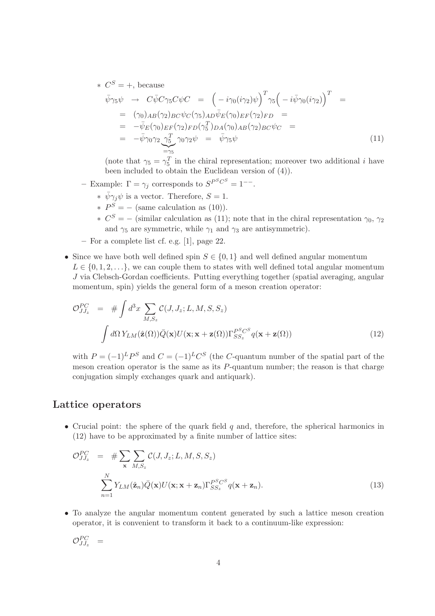$\star \, C^S = +$ , because

$$
\bar{\psi}\gamma_5\psi \rightarrow C\bar{\psi}C\gamma_5C\psi C = \left(-i\gamma_0(i\gamma_2)\psi\right)^T \gamma_5 \left(-i\bar{\psi}\gamma_0(i\gamma_2)\right)^T =
$$
\n
$$
= (\gamma_0)_{AB}(\gamma_2)_{BC}\psi_C(\gamma_5)_{AD}\bar{\psi}_E(\gamma_0)_{EF}(\gamma_2)_{FD} =
$$
\n
$$
= -\bar{\psi}_E(\gamma_0)_{EF}(\gamma_2)_{FD}(\gamma_5^T)_{DA}(\gamma_0)_{AB}(\gamma_2)_{BC}\psi_C =
$$
\n
$$
= -\bar{\psi}\gamma_0\gamma_2 \underbrace{\gamma_5^T}_{=\gamma_5} \gamma_0\gamma_2\psi = \bar{\psi}\gamma_5\psi
$$
\n(11)

(note that  $\gamma_5 = \gamma_5^T$  in the chiral representation; moreover two additional *i* have been included to obtain the Euclidean version of (4)).

- Example:  $\Gamma = \gamma_j$  corresponds to  $S^{PSCS} = 1^{--}$ .
	- $* \ \bar{\psi} \gamma_j \psi$  is a vector. Therefore,  $S = 1$ .
	- $*$   $P<sup>S</sup> = -$  (same calculation as (10)).
	- $\ast$   $C^{S} = -$  (similar calculation as (11); note that in the chiral representation  $\gamma_0$ ,  $\gamma_2$ and  $\gamma_5$  are symmetric, while  $\gamma_1$  and  $\gamma_3$  are antisymmetric).
- For a complete list cf. e.g. [1], page 22.
- Since we have both well defined spin  $S \in \{0,1\}$  and well defined angular momentum  $L \in \{0, 1, 2, \ldots\}$ , we can couple them to states with well defined total angular momentum J via Clebsch-Gordan coefficients. Putting everything together (spatial averaging, angular momentum, spin) yields the general form of a meson creation operator:

$$
\mathcal{O}_{JJ_z}^{PC} = # \int d^3x \sum_{M,S_z} \mathcal{C}(J, J_z; L, M, S, S_z)
$$

$$
\int d\Omega Y_{LM}(\hat{\mathbf{z}}(\Omega)) \bar{Q}(\mathbf{x}) U(\mathbf{x}; \mathbf{x} + \mathbf{z}(\Omega)) \Gamma_{SS_z}^{PSC^S} q(\mathbf{x} + \mathbf{z}(\Omega))
$$
(12)

with  $P = (-1)^L P^S$  and  $C = (-1)^L C^S$  (the C-quantum number of the spatial part of the meson creation operator is the same as its  $P$ -quantum number; the reason is that charge conjugation simply exchanges quark and antiquark).

#### Lattice operators

• Crucial point: the sphere of the quark field  $q$  and, therefore, the spherical harmonics in (12) have to be approximated by a finite number of lattice sites:

$$
\mathcal{O}_{JJ_z}^{PC} = \# \sum_{\mathbf{x}} \sum_{M,S_z} \mathcal{C}(J, J_z; L, M, S, S_z)
$$

$$
\sum_{n=1}^{N} Y_{LM}(\hat{\mathbf{z}}_n) \bar{Q}(\mathbf{x}) U(\mathbf{x}; \mathbf{x} + \mathbf{z}_n) \Gamma_{SS_z}^{PSCS} q(\mathbf{x} + \mathbf{z}_n).
$$
(13)

• To analyze the angular momentum content generated by such a lattice meson creation operator, it is convenient to transform it back to a continuum-like expression:

$$
{\cal O}^{PC}_{JJ_z} \ \ =
$$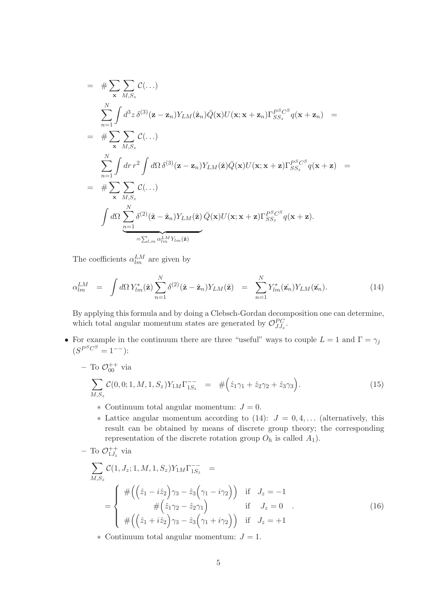$$
= \# \sum_{\mathbf{x}} \sum_{M,S_z} C(...)
$$
  
\n
$$
\sum_{n=1}^{N} \int d^3z \, \delta^{(3)}(\mathbf{z} - \mathbf{z}_n) Y_{LM}(\hat{\mathbf{z}}_n) \bar{Q}(\mathbf{x}) U(\mathbf{x}; \mathbf{x} + \mathbf{z}_n) \Gamma_{SS_z}^{PSCS} q(\mathbf{x} + \mathbf{z}_n) =
$$
  
\n
$$
= \# \sum_{n=1}^{N} \sum_{M,S_z} C(...)
$$
  
\n
$$
\sum_{n=1}^{N} \int dr \, r^2 \int d\Omega \, \delta^{(3)}(\mathbf{z} - \mathbf{z}_n) Y_{LM}(\hat{\mathbf{z}}) \bar{Q}(\mathbf{x}) U(\mathbf{x}; \mathbf{x} + \mathbf{z}) \Gamma_{SS_z}^{PSCS} q(\mathbf{x} + \mathbf{z}) =
$$
  
\n
$$
= \# \sum_{\mathbf{x}} \sum_{M,S_z} C(...)
$$
  
\n
$$
\int d\Omega \sum_{n=1}^{N} \delta^{(2)}(\hat{\mathbf{z}} - \hat{\mathbf{z}}_n) Y_{LM}(\hat{\mathbf{z}}) \bar{Q}(\mathbf{x}) U(\mathbf{x}; \mathbf{x} + \mathbf{z}) \Gamma_{SS_z}^{PSCS} q(\mathbf{x} + \mathbf{z}).
$$
  
\n
$$
= \sum_{l,m} \alpha_{lm}^{LM} Y_{lm}(\hat{\mathbf{z}})
$$

The coefficients  $\alpha_{lm}^{LM}$  are given by

$$
\alpha_{lm}^{LM} = \int d\Omega Y_{lm}^*(\hat{\mathbf{z}}) \sum_{n=1}^N \delta^{(2)}(\hat{\mathbf{z}} - \hat{\mathbf{z}}_n) Y_{LM}(\hat{\mathbf{z}}) = \sum_{n=1}^N Y_{lm}^*(\hat{\mathbf{z}}_n) Y_{LM}(\hat{\mathbf{z}}_n).
$$
(14)

By applying this formula and by doing a Clebsch-Gordan decomposition one can determine, which total angular momentum states are generated by  $\mathcal{O}_{JJ_{z}}^{PC}$ .

- For example in the continuum there are three "useful" ways to couple  $L = 1$  and  $\Gamma = \gamma_j$  $(S^{P^SC^S} = 1^{--})$ :
	- $-$  To  $\mathcal{O}_{00}^{++}$  via

$$
\sum_{M,S_z} C(0,0;1,M,1,S_z) Y_{1M} \Gamma_{1S_z}^{--} = # \Big(\hat{z}_1 \gamma_1 + \hat{z}_2 \gamma_2 + \hat{z}_3 \gamma_3\Big). \tag{15}
$$

- $\ast$  Continuum total angular momentum:  $J = 0$ .
- $\ast$  Lattice angular momentum according to (14):  $J = 0, 4, \dots$  (alternatively, this result can be obtained by means of discrete group theory; the corresponding representation of the discrete rotation group  $O_h$  is called  $A_1$ ).

- To 
$$
\mathcal{O}_{1J_z}^{++}
$$
 via

$$
\sum_{M,S_z} C(1, J_z; 1, M, 1, S_z) Y_{1M} \Gamma_{1S_z}^{--} =
$$
\n
$$
= \begin{cases}\n\# \Big( \Big( \hat{z}_1 - i \hat{z}_2 \Big) \gamma_3 - \hat{z}_3 \Big( \gamma_1 - i \gamma_2 \Big) \Big) & \text{if } J_z = -1 \\
\# \Big( \hat{z}_1 \gamma_2 - \hat{z}_2 \gamma_1 \Big) & \text{if } J_z = 0 \\
\# \Big( \Big( \hat{z}_1 + i \hat{z}_2 \Big) \gamma_3 - \hat{z}_3 \Big( \gamma_1 + i \gamma_2 \Big) \Big) & \text{if } J_z = +1\n\end{cases}
$$
\n(16)

 $\ast$  Continuum total angular momentum:  $J = 1$ .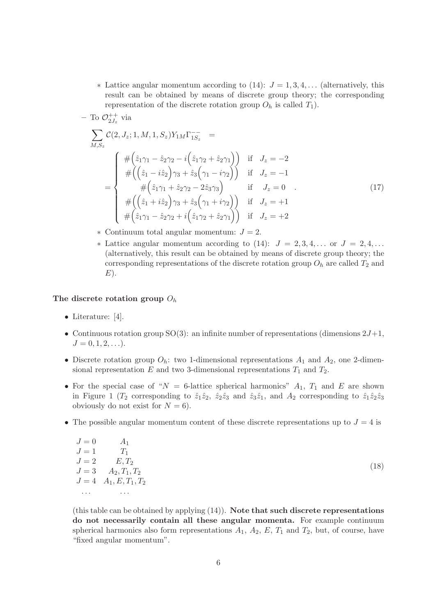$\ast$  Lattice angular momentum according to (14):  $J = 1, 3, 4, \dots$  (alternatively, this result can be obtained by means of discrete group theory; the corresponding representation of the discrete rotation group  $O_h$  is called  $T_1$ ).

$$
- \operatorname{To} \mathcal{O}_{2J_z}^{++} \text{ via}
$$
\n
$$
\sum_{M,S_z} C(2, J_z; 1, M, 1, S_z) Y_{1M} \Gamma_{1S_z}^{--} =
$$
\n
$$
= \begin{cases}\n\# \left( \hat{z}_1 \gamma_1 - \hat{z}_2 \gamma_2 - i \left( \hat{z}_1 \gamma_2 + \hat{z}_2 \gamma_1 \right) \right) & \text{if } J_z = -2 \\
\# \left( \left( \hat{z}_1 - i \hat{z}_2 \right) \gamma_3 + \hat{z}_3 \left( \gamma_1 - i \gamma_2 \right) \right) & \text{if } J_z = -1 \\
\# \left( \hat{z}_1 \gamma_1 + \hat{z}_2 \gamma_2 - 2 \hat{z}_3 \gamma_3 \right) & \text{if } J_z = 0 \\
\# \left( \left( \hat{z}_1 + i \hat{z}_2 \right) \gamma_3 + \hat{z}_3 \left( \gamma_1 + i \gamma_2 \right) \right) & \text{if } J_z = +1 \\
\# \left( \hat{z}_1 \gamma_1 - \hat{z}_2 \gamma_2 + i \left( \hat{z}_1 \gamma_2 + \hat{z}_2 \gamma_1 \right) \right) & \text{if } J_z = +2\n\end{cases}
$$
\n(17)

- $\ast$  Continuum total angular momentum:  $J = 2$ .
- $\ast$  Lattice angular momentum according to (14):  $J = 2, 3, 4, \ldots$  or  $J = 2, 4, \ldots$ (alternatively, this result can be obtained by means of discrete group theory; the corresponding representations of the discrete rotation group  $O_h$  are called  $T_2$  and  $E$ ).

#### The discrete rotation group  $O_h$

- Literature: [4].
- Continuous rotation group  $SO(3)$ : an infinite number of representations (dimensions  $2J+1$ ,  $J = 0, 1, 2, \ldots$ .
- Discrete rotation group  $O_h$ : two 1-dimensional representations  $A_1$  and  $A_2$ , one 2-dimensional representation E and two 3-dimensional representations  $T_1$  and  $T_2$ .
- For the special case of " $N = 6$ -lattice spherical harmonics"  $A_1$ ,  $T_1$  and E are shown in Figure 1 ( $T_2$  corresponding to  $\hat{z}_1\hat{z}_2$ ,  $\hat{z}_2\hat{z}_3$  and  $\hat{z}_3\hat{z}_1$ , and  $A_2$  corresponding to  $\hat{z}_1\hat{z}_2\hat{z}_3$ obviously do not exist for  $N = 6$ .
- The possible angular momentum content of these discrete representations up to  $J = 4$  is

| $J=0$ | $A_1$              |
|-------|--------------------|
| $J=1$ | $T_1$              |
| $J=2$ | $E, T_2$           |
| $J=3$ | $A_2, T_1, T_2$    |
| $J=4$ | $A_1, E, T_1, T_2$ |
|       |                    |

(this table can be obtained by applying  $(14)$ ). Note that such discrete representations do not necessarily contain all these angular momenta. For example continuum spherical harmonics also form representations  $A_1$ ,  $A_2$ ,  $E$ ,  $T_1$  and  $T_2$ , but, of course, have "fixed angular momentum".

(18)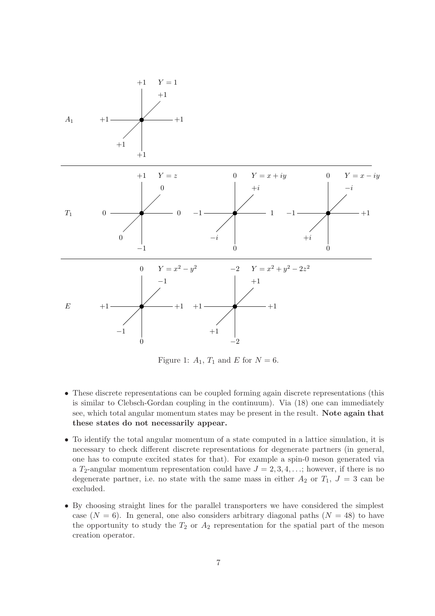

Figure 1:  $A_1$ ,  $T_1$  and E for  $N = 6$ .

- These discrete representations can be coupled forming again discrete representations (this is similar to Clebsch-Gordan coupling in the continuum). Via (18) one can immediately see, which total angular momentum states may be present in the result. Note again that these states do not necessarily appear.
- To identify the total angular momentum of a state computed in a lattice simulation, it is necessary to check different discrete representations for degenerate partners (in general, one has to compute excited states for that). For example a spin-0 meson generated via a  $T_2$ -angular momentum representation could have  $J = 2, 3, 4, \ldots$ ; however, if there is no degenerate partner, i.e. no state with the same mass in either  $A_2$  or  $T_1$ ,  $J = 3$  can be excluded.
- By choosing straight lines for the parallel transporters we have considered the simplest case  $(N = 6)$ . In general, one also considers arbitrary diagonal paths  $(N = 48)$  to have the opportunity to study the  $T_2$  or  $A_2$  representation for the spatial part of the meson creation operator.